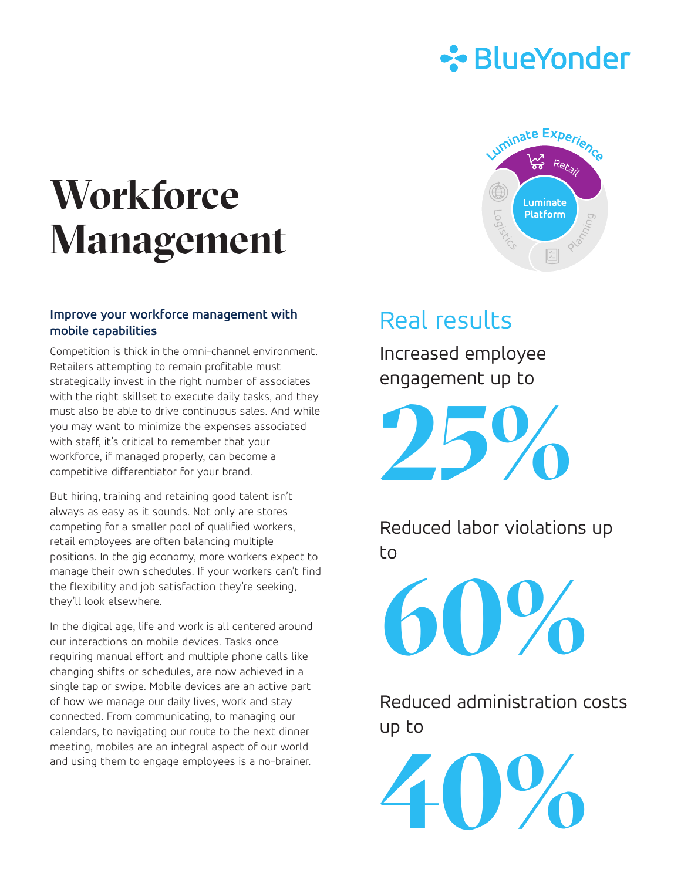

# **Workforce Management**

#### **Improve your workforce management with mobile capabilities**

Competition is thick in the omni-channel environment. Retailers attempting to remain profitable must strategically invest in the right number of associates with the right skillset to execute daily tasks, and they must also be able to drive continuous sales. And while you may want to minimize the expenses associated with staff, it's critical to remember that your workforce, if managed properly, can become a competitive differentiator for your brand.

But hiring, training and retaining good talent isn't always as easy as it sounds. Not only are stores competing for a smaller pool of qualified workers, retail employees are often balancing multiple positions. In the gig economy, more workers expect to manage their own schedules. If your workers can't find the flexibility and job satisfaction they're seeking, they'll look elsewhere.

In the digital age, life and work is all centered around our interactions on mobile devices. Tasks once requiring manual effort and multiple phone calls like changing shifts or schedules, are now achieved in a single tap or swipe. Mobile devices are an active part of how we manage our daily lives, work and stay connected. From communicating, to managing our calendars, to navigating our route to the next dinner meeting, mobiles are an integral aspect of our world and using them to engage employees is a no-brainer.



## Real results

Increased employee engagement up to

**25%** 

Reduced labor violations up to

**60%** 

Reduced administration costs up to

**40%**